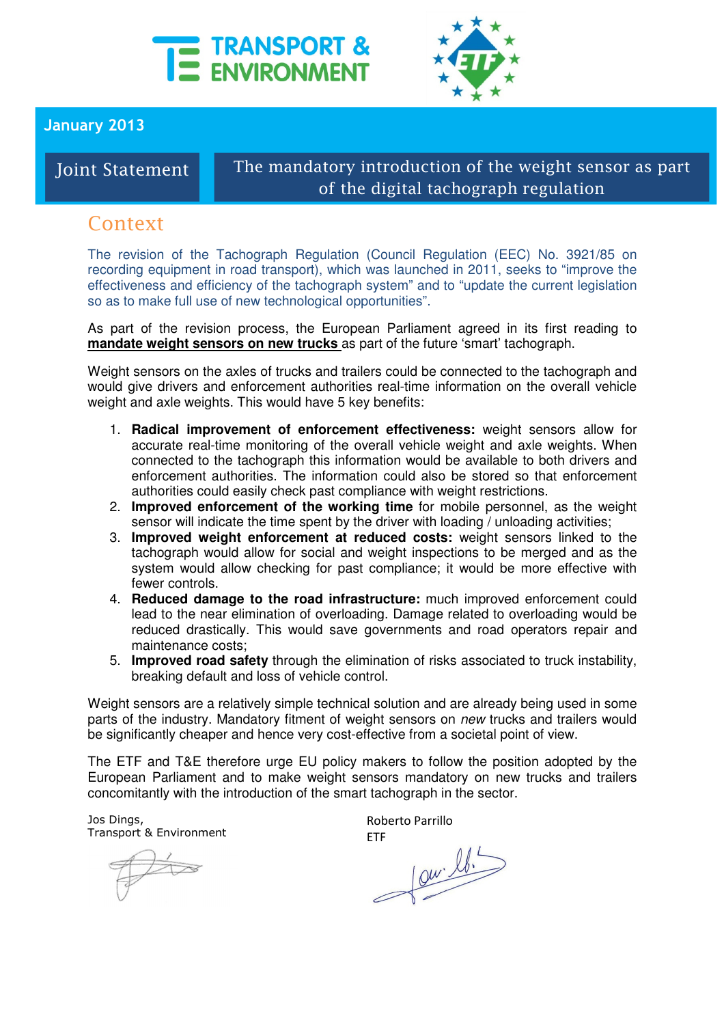



January 2013

Joint Statement

## The mandatory introduction of the weight sensor as part of the digital tachograph regulation

## Context

The revision of the Tachograph Regulation (Council Regulation (EEC) No. 3921/85 on recording equipment in road transport), which was launched in 2011, seeks to "improve the effectiveness and efficiency of the tachograph system" and to "update the current legislation so as to make full use of new technological opportunities".

As part of the revision process, the European Parliament agreed in its first reading to **mandate weight sensors on new trucks** as part of the future 'smart' tachograph.

Weight sensors on the axles of trucks and trailers could be connected to the tachograph and would give drivers and enforcement authorities real-time information on the overall vehicle weight and axle weights. This would have 5 key benefits:

- 1. **Radical improvement of enforcement effectiveness:** weight sensors allow for accurate real-time monitoring of the overall vehicle weight and axle weights. When connected to the tachograph this information would be available to both drivers and enforcement authorities. The information could also be stored so that enforcement authorities could easily check past compliance with weight restrictions.
- 2. **Improved enforcement of the working time** for mobile personnel, as the weight sensor will indicate the time spent by the driver with loading / unloading activities;
- 3. **Improved weight enforcement at reduced costs:** weight sensors linked to the tachograph would allow for social and weight inspections to be merged and as the system would allow checking for past compliance; it would be more effective with fewer controls.
- 4. **Reduced damage to the road infrastructure:** much improved enforcement could lead to the near elimination of overloading. Damage related to overloading would be reduced drastically. This would save governments and road operators repair and maintenance costs;
- 5. **Improved road safety** through the elimination of risks associated to truck instability, breaking default and loss of vehicle control.

Weight sensors are a relatively simple technical solution and are already being used in some parts of the industry. Mandatory fitment of weight sensors on new trucks and trailers would be significantly cheaper and hence very cost-effective from a societal point of view.

The ETF and T&E therefore urge EU policy makers to follow the position adopted by the European Parliament and to make weight sensors mandatory on new trucks and trailers concomitantly with the introduction of the smart tachograph in the sector.

Jos Dings, Transport & Environment

Roberto Parrillo

ETF<br> $\downarrow 0\nu$   $\downarrow b$